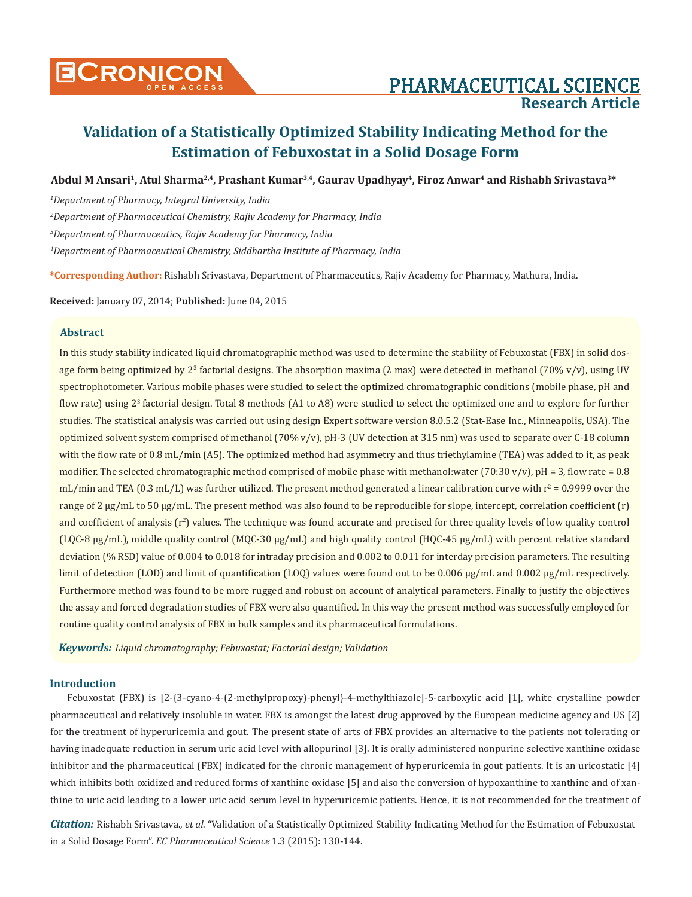

# **Research Article**

## **Validation of a Statistically Optimized Stability Indicating Method for the Estimation of Febuxostat in a Solid Dosage Form**

**Abdul M Ansari1, Atul Sharma2,4, Prashant Kumar3,4, Gaurav Upadhyay4, Firoz Anwar4 and Rishabh Srivastava3\***

*1 Department of Pharmacy, Integral University, India*

*2 Department of Pharmaceutical Chemistry, Rajiv Academy for Pharmacy, India*

*3 Department of Pharmaceutics, Rajiv Academy for Pharmacy, India*

*4 Department of Pharmaceutical Chemistry, Siddhartha Institute of Pharmacy, India*

**\*Corresponding Author:** Rishabh Srivastava, Department of Pharmaceutics, Rajiv Academy for Pharmacy, Mathura, India.

**Received:** January 07, 2014; **Published:** June 04, 2015

### **Abstract**

In this study stability indicated liquid chromatographic method was used to determine the stability of Febuxostat (FBX) in solid dosage form being optimized by 2<sup>3</sup> factorial designs. The absorption maxima (λ max) were detected in methanol (70% v/v), using UV spectrophotometer. Various mobile phases were studied to select the optimized chromatographic conditions (mobile phase, pH and flow rate) using 2<sup>3</sup> factorial design. Total 8 methods (A1 to A8) were studied to select the optimized one and to explore for further studies. The statistical analysis was carried out using design Expert software version 8.0.5.2 (Stat-Ease Inc., Minneapolis, USA). The optimized solvent system comprised of methanol (70% v/v), pH-3 (UV detection at 315 nm) was used to separate over C-18 column with the flow rate of 0.8 mL/min (A5). The optimized method had asymmetry and thus triethylamine (TEA) was added to it, as peak modifier. The selected chromatographic method comprised of mobile phase with methanol:water (70:30 v/v), pH = 3, flow rate = 0.8 mL/min and TEA (0.3 mL/L) was further utilized. The present method generated a linear calibration curve with  $r^2$  = 0.9999 over the range of 2  $\mu$ g/mL to 50  $\mu$ g/mL. The present method was also found to be reproducible for slope, intercept, correlation coefficient (r) and coefficient of analysis ( $r^2$ ) values. The technique was found accurate and precised for three quality levels of low quality control (LQC-8 μg/mL), middle quality control (MQC-30 μg/mL) and high quality control (HQC-45 μg/mL) with percent relative standard deviation (% RSD) value of 0.004 to 0.018 for intraday precision and 0.002 to 0.011 for interday precision parameters. The resulting limit of detection (LOD) and limit of quantification (LOQ) values were found out to be 0.006 μg/mL and 0.002 μg/mL respectively. Furthermore method was found to be more rugged and robust on account of analytical parameters. Finally to justify the objectives the assay and forced degradation studies of FBX were also quantified. In this way the present method was successfully employed for routine quality control analysis of FBX in bulk samples and its pharmaceutical formulations.

*Keywords: Liquid chromatography; Febuxostat; Factorial design; Validation*

### **Introduction**

Febuxostat (FBX) is [2-{3-cyano-4-(2-methylpropoxy)-phenyl}-4-methylthiazole]-5-carboxylic acid [1], white crystalline powder pharmaceutical and relatively insoluble in water. FBX is amongst the latest drug approved by the European medicine agency and US [2] for the treatment of hyperuricemia and gout. The present state of arts of FBX provides an alternative to the patients not tolerating or having inadequate reduction in serum uric acid level with allopurinol [3]. It is orally administered nonpurine selective xanthine oxidase inhibitor and the pharmaceutical (FBX) indicated for the chronic management of hyperuricemia in gout patients. It is an uricostatic [4] which inhibits both oxidized and reduced forms of xanthine oxidase [5] and also the conversion of hypoxanthine to xanthine and of xanthine to uric acid leading to a lower uric acid serum level in hyperuricemic patients. Hence, it is not recommended for the treatment of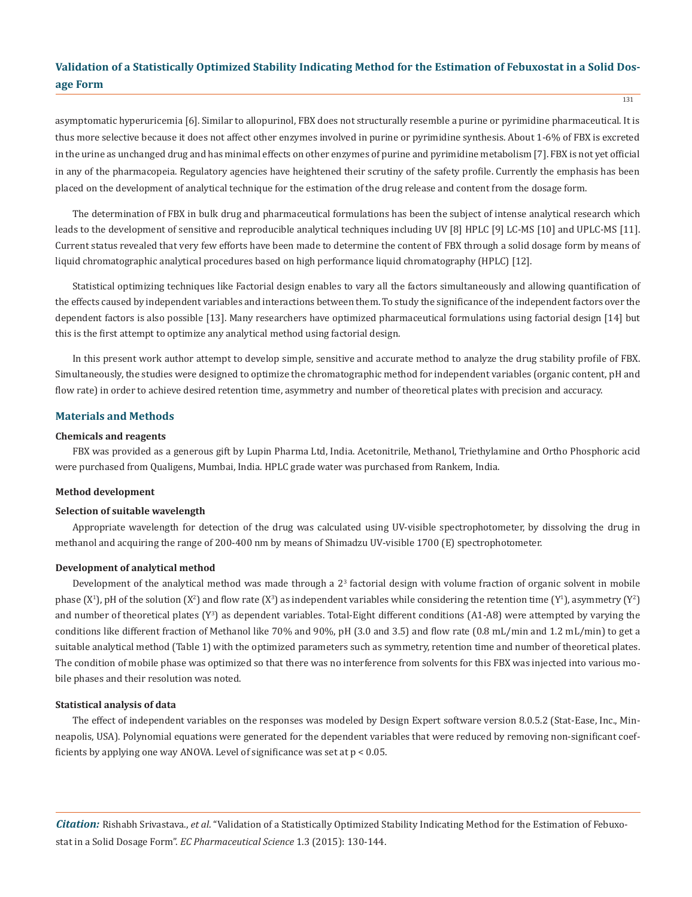131

asymptomatic hyperuricemia [6]. Similar to allopurinol, FBX does not structurally resemble a purine or pyrimidine pharmaceutical. It is thus more selective because it does not affect other enzymes involved in purine or pyrimidine synthesis. About 1-6% of FBX is excreted in the urine as unchanged drug and has minimal effects on other enzymes of purine and pyrimidine metabolism [7]. FBX is not yet official in any of the pharmacopeia. Regulatory agencies have heightened their scrutiny of the safety profile. Currently the emphasis has been placed on the development of analytical technique for the estimation of the drug release and content from the dosage form.

The determination of FBX in bulk drug and pharmaceutical formulations has been the subject of intense analytical research which leads to the development of sensitive and reproducible analytical techniques including UV [8] HPLC [9] LC-MS [10] and UPLC-MS [11]. Current status revealed that very few efforts have been made to determine the content of FBX through a solid dosage form by means of liquid chromatographic analytical procedures based on high performance liquid chromatography (HPLC) [12].

Statistical optimizing techniques like Factorial design enables to vary all the factors simultaneously and allowing quantification of the effects caused by independent variables and interactions between them. To study the significance of the independent factors over the dependent factors is also possible [13]. Many researchers have optimized pharmaceutical formulations using factorial design [14] but this is the first attempt to optimize any analytical method using factorial design.

In this present work author attempt to develop simple, sensitive and accurate method to analyze the drug stability profile of FBX. Simultaneously, the studies were designed to optimize the chromatographic method for independent variables (organic content, pH and flow rate) in order to achieve desired retention time, asymmetry and number of theoretical plates with precision and accuracy.

### **Materials and Methods**

### **Chemicals and reagents**

FBX was provided as a generous gift by Lupin Pharma Ltd, India. Acetonitrile, Methanol, Triethylamine and Ortho Phosphoric acid were purchased from Qualigens, Mumbai, India. HPLC grade water was purchased from Rankem, India.

### **Method development**

### **Selection of suitable wavelength**

Appropriate wavelength for detection of the drug was calculated using UV-visible spectrophotometer, by dissolving the drug in methanol and acquiring the range of 200-400 nm by means of Shimadzu UV-visible 1700 (E) spectrophotometer.

### **Development of analytical method**

Development of the analytical method was made through a 2<sup>3</sup> factorial design with volume fraction of organic solvent in mobile phase (X<sup>1</sup>), pH of the solution (X<sup>2</sup>) and flow rate (X<sup>3</sup>) as independent variables while considering the retention time (Y<sup>1</sup>), asymmetry (Y<sup>2</sup>) and number of theoretical plates (Y<sup>3</sup>) as dependent variables. Total-Eight different conditions (A1-A8) were attempted by varying the conditions like different fraction of Methanol like 70% and 90%, pH (3.0 and 3.5) and flow rate (0.8 mL/min and 1.2 mL/min) to get a suitable analytical method (Table 1) with the optimized parameters such as symmetry, retention time and number of theoretical plates. The condition of mobile phase was optimized so that there was no interference from solvents for this FBX was injected into various mobile phases and their resolution was noted.

#### **Statistical analysis of data**

The effect of independent variables on the responses was modeled by Design Expert software version 8.0.5.2 (Stat-Ease, Inc., Minneapolis, USA). Polynomial equations were generated for the dependent variables that were reduced by removing non-significant coefficients by applying one way ANOVA. Level of significance was set at p < 0.05.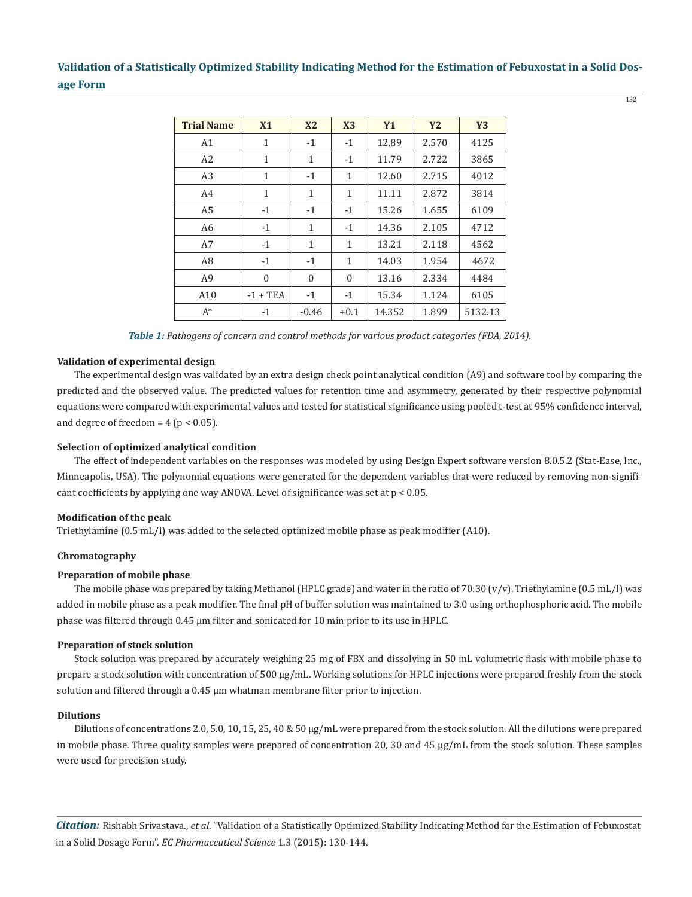132

| <b>Trial Name</b> | X1           | X <sub>2</sub> | X3           | <b>Y1</b> | <b>Y2</b> | <b>Y3</b> |
|-------------------|--------------|----------------|--------------|-----------|-----------|-----------|
| A1                | $\mathbf 1$  | $-1$           | $-1$         | 12.89     | 2.570     | 4125      |
| A2                | $\mathbf{1}$ | $\mathbf{1}$   | $-1$         | 11.79     | 2.722     | 3865      |
| A <sub>3</sub>    | $\mathbf{1}$ | $-1$           | $\mathbf{1}$ | 12.60     | 2.715     | 4012      |
| A4                | $\mathbf{1}$ | 1              | $\mathbf{1}$ | 11.11     | 2.872     | 3814      |
| A <sub>5</sub>    | $-1$         | $-1$           | $-1$         | 15.26     | 1.655     | 6109      |
| A <sub>6</sub>    | $-1$         | 1              | $-1$         | 14.36     | 2.105     | 4712      |
| A7                | $-1$         | 1              | $\mathbf{1}$ | 13.21     | 2.118     | 4562      |
| A <sub>8</sub>    | $-1$         | $-1$           | $\mathbf{1}$ | 14.03     | 1.954     | 4672      |
| A <sub>9</sub>    | $\theta$     | $\theta$       | $\theta$     | 13.16     | 2.334     | 4484      |
| A10               | $-1 + TEA$   | $-1$           | $-1$         | 15.34     | 1.124     | 6105      |
| $A^*$             | $-1$         | $-0.46$        | $+0.1$       | 14.352    | 1.899     | 5132.13   |

*Table 1: Pathogens of concern and control methods for various product categories (FDA, 2014).*

### **Validation of experimental design**

The experimental design was validated by an extra design check point analytical condition (A9) and software tool by comparing the predicted and the observed value. The predicted values for retention time and asymmetry, generated by their respective polynomial equations were compared with experimental values and tested for statistical significance using pooled t-test at 95% confidence interval, and degree of freedom =  $4$  ( $p < 0.05$ ).

### **Selection of optimized analytical condition**

The effect of independent variables on the responses was modeled by using Design Expert software version 8.0.5.2 (Stat-Ease, Inc., Minneapolis, USA). The polynomial equations were generated for the dependent variables that were reduced by removing non-significant coefficients by applying one way ANOVA. Level of significance was set at  $p < 0.05$ .

### **Modification of the peak**

Triethylamine (0.5 mL/l) was added to the selected optimized mobile phase as peak modifier (A10).

### **Chromatography**

### **Preparation of mobile phase**

The mobile phase was prepared by taking Methanol (HPLC grade) and water in the ratio of 70:30  $(v/v)$ . Triethylamine (0.5 mL/l) was added in mobile phase as a peak modifier. The final pH of buffer solution was maintained to 3.0 using orthophosphoric acid. The mobile phase was filtered through 0.45 μm filter and sonicated for 10 min prior to its use in HPLC.

### **Preparation of stock solution**

Stock solution was prepared by accurately weighing 25 mg of FBX and dissolving in 50 mL volumetric flask with mobile phase to prepare a stock solution with concentration of 500 µg/mL. Working solutions for HPLC injections were prepared freshly from the stock solution and filtered through a 0.45 µm whatman membrane filter prior to injection.

### **Dilutions**

Dilutions of concentrations 2.0, 5.0, 10, 15, 25, 40 & 50 µg/mL were prepared from the stock solution. All the dilutions were prepared in mobile phase. Three quality samples were prepared of concentration 20, 30 and 45 µg/mL from the stock solution. These samples were used for precision study.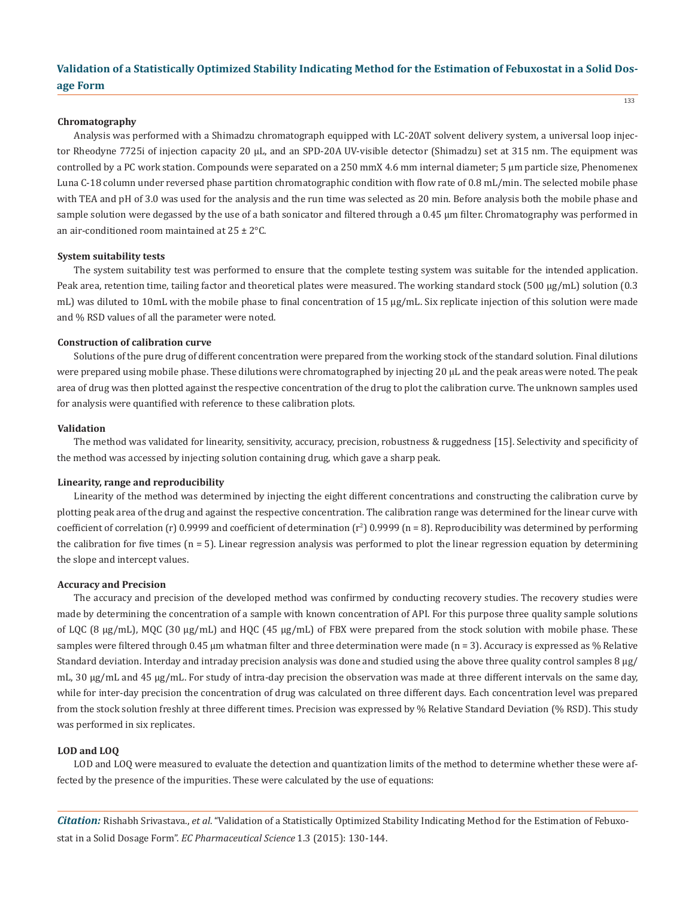#### **Chromatography**

Analysis was performed with a Shimadzu chromatograph equipped with LC-20AT solvent delivery system, a universal loop injector Rheodyne 7725i of injection capacity 20 µL, and an SPD-20A UV-visible detector (Shimadzu) set at 315 nm. The equipment was controlled by a PC work station. Compounds were separated on a 250 mmΧ 4.6 mm internal diameter; 5 µm particle size, Phenomenex Luna C-18 column under reversed phase partition chromatographic condition with flow rate of 0.8 mL/min. The selected mobile phase with TEA and pH of 3.0 was used for the analysis and the run time was selected as 20 min. Before analysis both the mobile phase and sample solution were degassed by the use of a bath sonicator and filtered through a 0.45 µm filter. Chromatography was performed in an air-conditioned room maintained at  $25 \pm 2$  °C.

#### **System suitability tests**

The system suitability test was performed to ensure that the complete testing system was suitable for the intended application. Peak area, retention time, tailing factor and theoretical plates were measured. The working standard stock (500 µg/mL) solution (0.3 mL) was diluted to 10mL with the mobile phase to final concentration of 15  $\mu$ g/mL. Six replicate injection of this solution were made and % RSD values of all the parameter were noted.

### **Construction of calibration curve**

Solutions of the pure drug of different concentration were prepared from the working stock of the standard solution. Final dilutions were prepared using mobile phase. These dilutions were chromatographed by injecting 20 µL and the peak areas were noted. The peak area of drug was then plotted against the respective concentration of the drug to plot the calibration curve. The unknown samples used for analysis were quantified with reference to these calibration plots.

#### **Validation**

The method was validated for linearity, sensitivity, accuracy, precision, robustness & ruggedness [15]. Selectivity and specificity of the method was accessed by injecting solution containing drug, which gave a sharp peak.

### **Linearity, range and reproducibility**

Linearity of the method was determined by injecting the eight different concentrations and constructing the calibration curve by plotting peak area of the drug and against the respective concentration. The calibration range was determined for the linear curve with  $\cot$  coefficient of correlation (r) 0.9999 and coefficient of determination (r<sup>2</sup>) 0.9999 (n = 8). Reproducibility was determined by performing the calibration for five times (n = 5). Linear regression analysis was performed to plot the linear regression equation by determining the slope and intercept values.

### **Accuracy and Precision**

The accuracy and precision of the developed method was confirmed by conducting recovery studies. The recovery studies were made by determining the concentration of a sample with known concentration of API. For this purpose three quality sample solutions of LQC (8  $\mu$ g/mL), MQC (30  $\mu$ g/mL) and HQC (45  $\mu$ g/mL) of FBX were prepared from the stock solution with mobile phase. These samples were filtered through 0.45 μm whatman filter and three determination were made (n = 3). Accuracy is expressed as % Relative Standard deviation. Interday and intraday precision analysis was done and studied using the above three quality control samples  $8 \mu$ g/ mL, 30 µg/mL and 45 µg/mL. For study of intra-day precision the observation was made at three different intervals on the same day, while for inter-day precision the concentration of drug was calculated on three different days. Each concentration level was prepared from the stock solution freshly at three different times. Precision was expressed by % Relative Standard Deviation (% RSD). This study was performed in six replicates.

### **LOD and LOQ**

LOD and LOQ were measured to evaluate the detection and quantization limits of the method to determine whether these were affected by the presence of the impurities. These were calculated by the use of equations: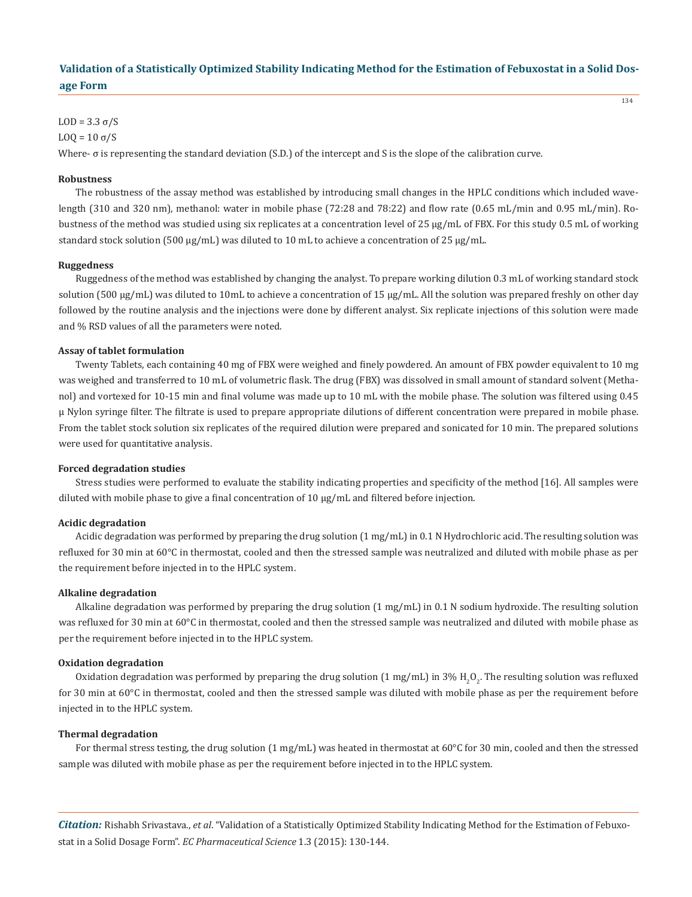134

### LOD =  $3.3 \sigma/S$

LO $0 = 10$  σ/S

Where- σ is representing the standard deviation (S.D.) of the intercept and S is the slope of the calibration curve.

### **Robustness**

The robustness of the assay method was established by introducing small changes in the HPLC conditions which included wavelength (310 and 320 nm), methanol: water in mobile phase (72:28 and 78:22) and flow rate (0.65 mL/min and 0.95 mL/min). Robustness of the method was studied using six replicates at a concentration level of 25 µg/mL of FBX. For this study 0.5 mL of working standard stock solution (500  $\mu$ g/mL) was diluted to 10 mL to achieve a concentration of 25  $\mu$ g/mL.

#### **Ruggedness**

Ruggedness of the method was established by changing the analyst. To prepare working dilution 0.3 mL of working standard stock solution (500  $\mu$ g/mL) was diluted to 10mL to achieve a concentration of 15  $\mu$ g/mL. All the solution was prepared freshly on other day followed by the routine analysis and the injections were done by different analyst. Six replicate injections of this solution were made and % RSD values of all the parameters were noted.

### **Assay of tablet formulation**

Twenty Tablets, each containing 40 mg of FBX were weighed and finely powdered. An amount of FBX powder equivalent to 10 mg was weighed and transferred to 10 mL of volumetric flask. The drug (FBX) was dissolved in small amount of standard solvent (Methanol) and vortexed for 10-15 min and final volume was made up to 10 mL with the mobile phase. The solution was filtered using 0.45 μ Nylon syringe filter. The filtrate is used to prepare appropriate dilutions of different concentration were prepared in mobile phase. From the tablet stock solution six replicates of the required dilution were prepared and sonicated for 10 min. The prepared solutions were used for quantitative analysis.

#### **Forced degradation studies**

Stress studies were performed to evaluate the stability indicating properties and specificity of the method [16]. All samples were diluted with mobile phase to give a final concentration of 10 µg/mL and filtered before injection.

### **Acidic degradation**

Acidic degradation was performed by preparing the drug solution (1 mg/mL) in 0.1 N Hydrochloric acid. The resulting solution was refluxed for 30 min at 60°C in thermostat, cooled and then the stressed sample was neutralized and diluted with mobile phase as per the requirement before injected in to the HPLC system.

#### **Alkaline degradation**

Alkaline degradation was performed by preparing the drug solution (1 mg/mL) in 0.1 N sodium hydroxide. The resulting solution was refluxed for 30 min at 60°C in thermostat, cooled and then the stressed sample was neutralized and diluted with mobile phase as per the requirement before injected in to the HPLC system.

#### **Oxidation degradation**

Oxidation degradation was performed by preparing the drug solution (1 mg/mL) in 3%  $\rm H_2O_2.$  The resulting solution was refluxed for 30 min at 60°C in thermostat, cooled and then the stressed sample was diluted with mobile phase as per the requirement before injected in to the HPLC system.

#### **Thermal degradation**

For thermal stress testing, the drug solution  $(1 \text{ mg/ml})$  was heated in thermostat at 60°C for 30 min, cooled and then the stressed sample was diluted with mobile phase as per the requirement before injected in to the HPLC system.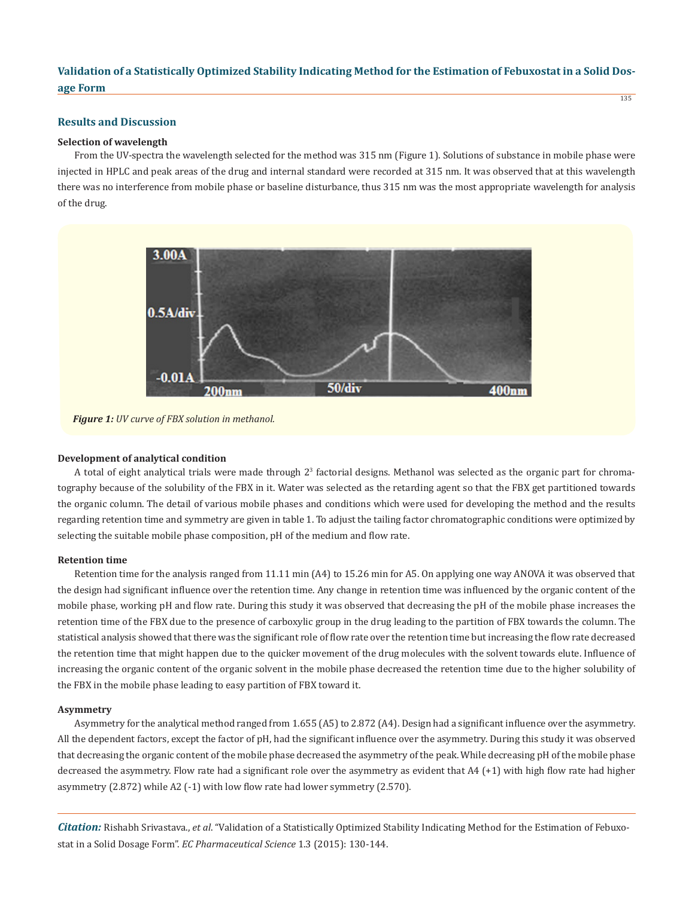### **Results and Discussion**

### **Selection of wavelength**

From the UV-spectra the wavelength selected for the method was 315 nm (Figure 1). Solutions of substance in mobile phase were injected in HPLC and peak areas of the drug and internal standard were recorded at 315 nm. It was observed that at this wavelength there was no interference from mobile phase or baseline disturbance, thus 315 nm was the most appropriate wavelength for analysis of the drug.



*Figure 1: UV curve of FBX solution in methanol.*

### **Development of analytical condition**

A total of eight analytical trials were made through 2<sup>3</sup> factorial designs. Methanol was selected as the organic part for chromatography because of the solubility of the FBX in it. Water was selected as the retarding agent so that the FBX get partitioned towards the organic column. The detail of various mobile phases and conditions which were used for developing the method and the results regarding retention time and symmetry are given in table 1. To adjust the tailing factor chromatographic conditions were optimized by selecting the suitable mobile phase composition, pH of the medium and flow rate.

### **Retention time**

Retention time for the analysis ranged from 11.11 min (A4) to 15.26 min for A5. On applying one way ANOVA it was observed that the design had significant influence over the retention time. Any change in retention time was influenced by the organic content of the mobile phase, working pH and flow rate. During this study it was observed that decreasing the pH of the mobile phase increases the retention time of the FBX due to the presence of carboxylic group in the drug leading to the partition of FBX towards the column. The statistical analysis showed that there was the significant role of flow rate over the retention time but increasing the flow rate decreased the retention time that might happen due to the quicker movement of the drug molecules with the solvent towards elute. Influence of increasing the organic content of the organic solvent in the mobile phase decreased the retention time due to the higher solubility of the FBX in the mobile phase leading to easy partition of FBX toward it.

### **Asymmetry**

Asymmetry for the analytical method ranged from 1.655 (A5) to 2.872 (A4). Design had a significant influence over the asymmetry. All the dependent factors, except the factor of pH, had the significant influence over the asymmetry. During this study it was observed that decreasing the organic content of the mobile phase decreased the asymmetry of the peak. While decreasing pH of the mobile phase decreased the asymmetry. Flow rate had a significant role over the asymmetry as evident that A4 (+1) with high flow rate had higher asymmetry (2.872) while A2 (-1) with low flow rate had lower symmetry (2.570).

*Citation:* Rishabh Srivastava., *et al*. "Validation of a Statistically Optimized Stability Indicating Method for the Estimation of Febuxostat in a Solid Dosage Form". *EC Pharmaceutical Science* 1.3 (2015): 130-144.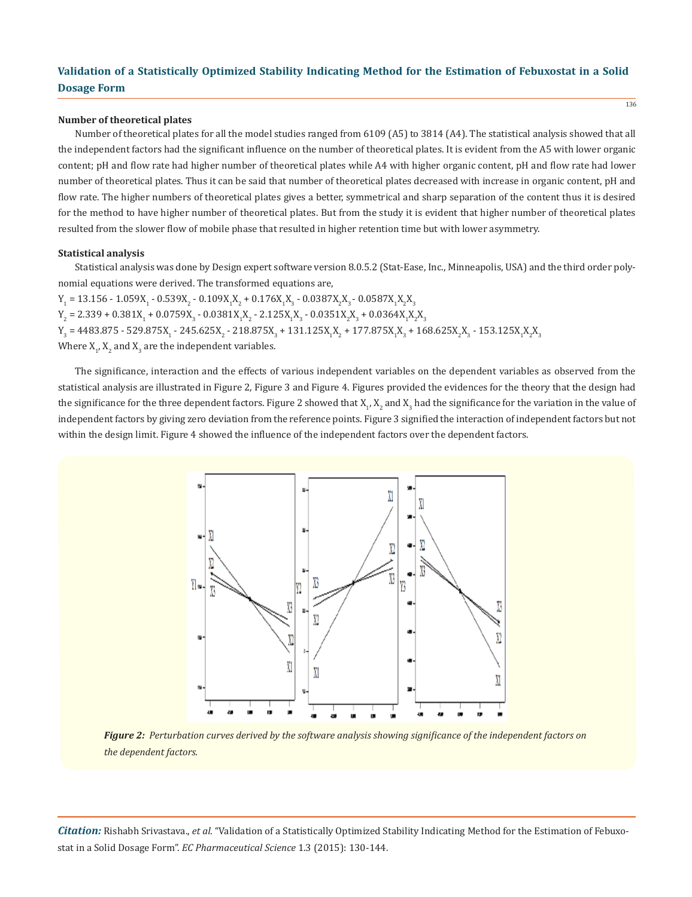### **Number of theoretical plates**

Number of theoretical plates for all the model studies ranged from 6109 (A5) to 3814 (A4). The statistical analysis showed that all the independent factors had the significant influence on the number of theoretical plates. It is evident from the A5 with lower organic content; pH and flow rate had higher number of theoretical plates while A4 with higher organic content, pH and flow rate had lower number of theoretical plates. Thus it can be said that number of theoretical plates decreased with increase in organic content, pH and flow rate. The higher numbers of theoretical plates gives a better, symmetrical and sharp separation of the content thus it is desired for the method to have higher number of theoretical plates. But from the study it is evident that higher number of theoretical plates resulted from the slower flow of mobile phase that resulted in higher retention time but with lower asymmetry.

### **Statistical analysis**

Statistical analysis was done by Design expert software version 8.0.5.2 (Stat-Ease, Inc., Minneapolis, USA) and the third order polynomial equations were derived. The transformed equations are,

 $Y_1 = 13.156 - 1.059X_1 - 0.539X_2 - 0.109X_1X_2 + 0.176X_1X_3 - 0.0387X_2X_3 - 0.0587X_1X_2X_3$  $Y_2 = 2.339 + 0.381X_1 + 0.0759X_3 - 0.0381X_1X_2 - 2.125X_1X_3 - 0.0351X_2X_3 + 0.0364X_1X_2X_3$  $Y_3 = 4483.875 - 529.875X_1 - 245.625X_2 - 218.875X_3 + 131.125X_1X_2 + 177.875X_1X_3 + 168.625X_2X_3 - 153.125X_1X_2X_3$ Where  $X_1$ ,  $X_2$  and  $X_3$  are the independent variables.

The significance, interaction and the effects of various independent variables on the dependent variables as observed from the statistical analysis are illustrated in Figure 2, Figure 3 and Figure 4. Figures provided the evidences for the theory that the design had the significance for the three dependent factors. Figure 2 showed that  $\mathrm{x}_{_1}$ ,  $\mathrm{x}_{_2}$  and  $\mathrm{x}_{_3}$  had the significance for the variation in the value of independent factors by giving zero deviation from the reference points. Figure 3 signified the interaction of independent factors but not within the design limit. Figure 4 showed the influence of the independent factors over the dependent factors.



*Figure 2: Perturbation curves derived by the software analysis showing significance of the independent factors on the dependent factors.*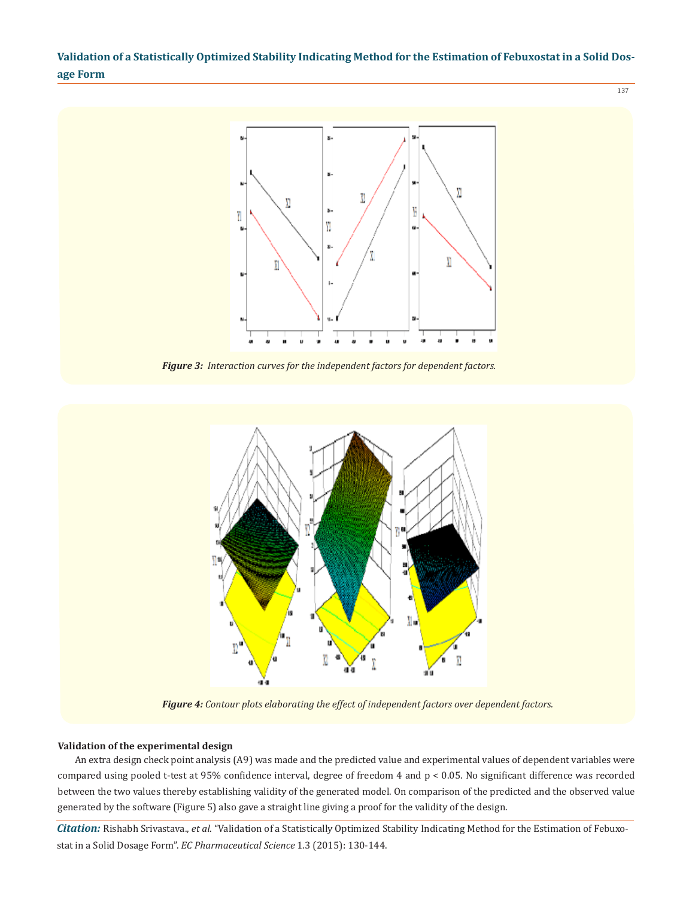

*Figure 3: Interaction curves for the independent factors for dependent factors.*



*Figure 4: Contour plots elaborating the effect of independent factors over dependent factors.*

### **Validation of the experimental design**

An extra design check point analysis (A9) was made and the predicted value and experimental values of dependent variables were compared using pooled t-test at 95% confidence interval, degree of freedom 4 and p < 0.05. No significant difference was recorded between the two values thereby establishing validity of the generated model. On comparison of the predicted and the observed value generated by the software (Figure 5) also gave a straight line giving a proof for the validity of the design.

*Citation:* Rishabh Srivastava., *et al*. "Validation of a Statistically Optimized Stability Indicating Method for the Estimation of Febuxostat in a Solid Dosage Form". *EC Pharmaceutical Science* 1.3 (2015): 130-144.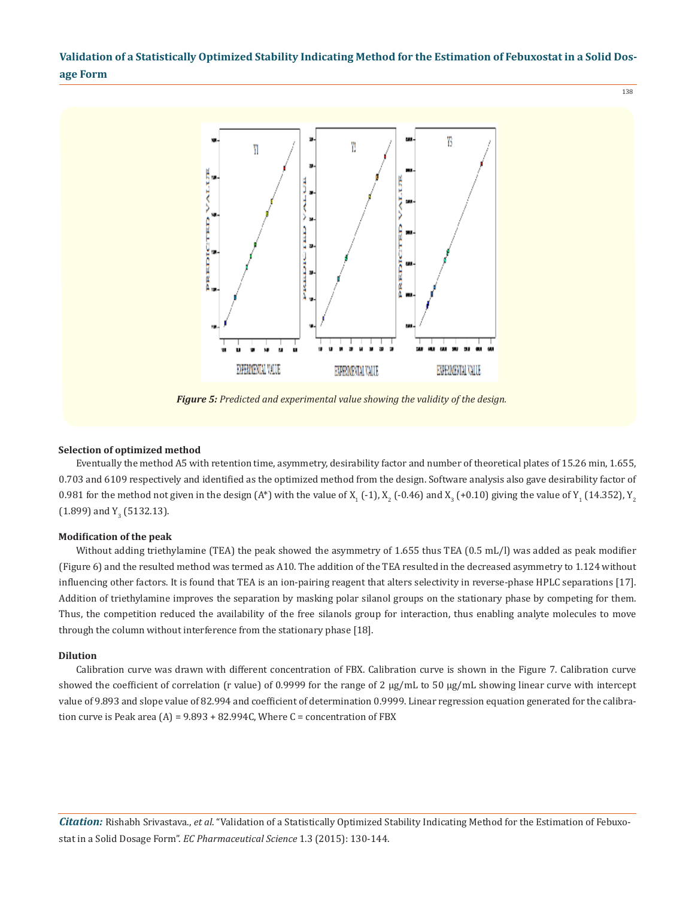138



*Figure 5: Predicted and experimental value showing the validity of the design.*

#### **Selection of optimized method**

Eventually the method A5 with retention time, asymmetry, desirability factor and number of theoretical plates of 15.26 min, 1.655, 0.703 and 6109 respectively and identified as the optimized method from the design. Software analysis also gave desirability factor of  $0.981$  for the method not given in the design (A\*) with the value of X<sub>1</sub> (-1), X<sub>2</sub> (-0.46) and X<sub>3</sub> (+0.10) giving the value of Y<sub>1</sub> (14.352), Y<sub>2</sub>  $(1.899)$  and Y<sub>3</sub> (5132.13).

### **Modification of the peak**

Without adding triethylamine (TEA) the peak showed the asymmetry of 1.655 thus TEA (0.5 mL/l) was added as peak modifier (Figure 6) and the resulted method was termed as A10. The addition of the TEA resulted in the decreased asymmetry to 1.124 without influencing other factors. It is found that TEA is an ion-pairing reagent that alters selectivity in reverse-phase HPLC separations [17]. Addition of triethylamine improves the separation by masking polar silanol groups on the stationary phase by competing for them. Thus, the competition reduced the availability of the free silanols group for interaction, thus enabling analyte molecules to move through the column without interference from the stationary phase [18].

### **Dilution**

Calibration curve was drawn with different concentration of FBX. Calibration curve is shown in the Figure 7. Calibration curve showed the coefficient of correlation (r value) of 0.9999 for the range of 2  $\mu$ g/mL to 50  $\mu$ g/mL showing linear curve with intercept value of 9.893 and slope value of 82.994 and coefficient of determination 0.9999. Linear regression equation generated for the calibration curve is Peak area  $(A) = 9.893 + 82.994C$ , Where C = concentration of FBX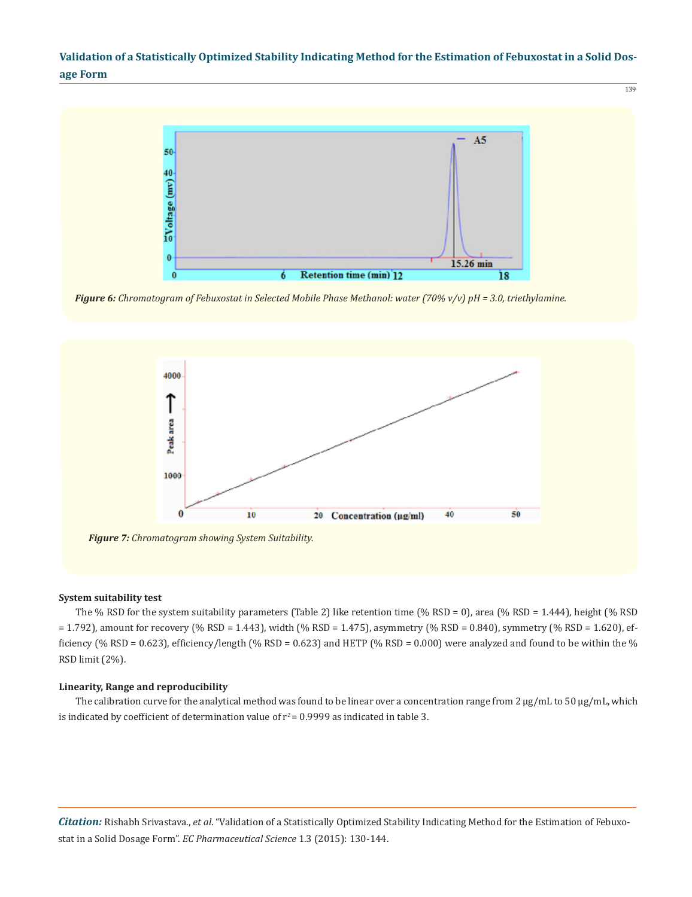139



*Figure 6: Chromatogram of Febuxostat in Selected Mobile Phase Methanol: water (70% v/v) pH = 3.0, triethylamine.*



### **System suitability test**

The % RSD for the system suitability parameters (Table 2) like retention time (% RSD = 0), area (% RSD = 1.444), height (% RSD  $= 1.792$ ), amount for recovery (% RSD = 1.443), width (% RSD = 1.475), asymmetry (% RSD = 0.840), symmetry (% RSD = 1.620), efficiency (% RSD = 0.623), efficiency/length (% RSD = 0.623) and HETP (% RSD = 0.000) were analyzed and found to be within the % RSD limit (2%).

### **Linearity, Range and reproducibility**

The calibration curve for the analytical method was found to be linear over a concentration range from  $2 \mu g/mL$  to  $50 \mu g/mL$ , which is indicated by coefficient of determination value of  $r^2$  = 0.9999 as indicated in table 3.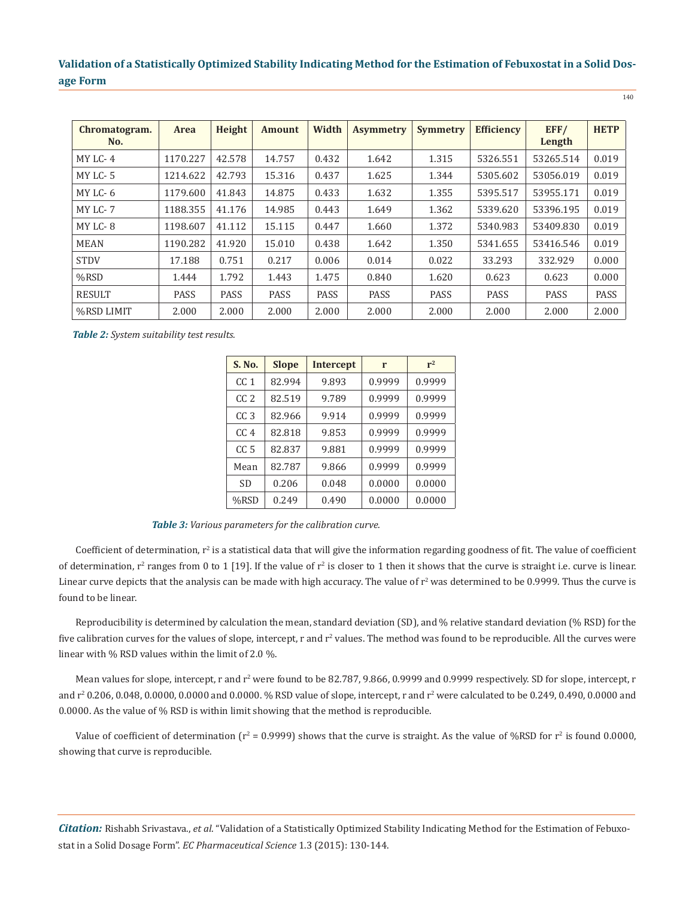| Chromatogram.<br>No. | <b>Area</b> | Height      | <b>Amount</b> | Width       | <b>Asymmetry</b> | <b>Symmetry</b> | <b>Efficiency</b> | EFF/<br>Length | <b>HETP</b> |
|----------------------|-------------|-------------|---------------|-------------|------------------|-----------------|-------------------|----------------|-------------|
| MY LC-4              | 1170.227    | 42.578      | 14.757        | 0.432       | 1.642            | 1.315           | 5326.551          | 53265.514      | 0.019       |
| MY LC-5              | 1214.622    | 42.793      | 15.316        | 0.437       | 1.625            | 1.344           | 5305.602          | 53056.019      | 0.019       |
| MY LC-6              | 1179.600    | 41.843      | 14.875        | 0.433       | 1.632            | 1.355           | 5395.517          | 53955.171      | 0.019       |
| MY LC-7              | 1188.355    | 41.176      | 14.985        | 0.443       | 1.649            | 1.362           | 5339.620          | 53396.195      | 0.019       |
| MY LC-8              | 1198.607    | 41.112      | 15.115        | 0.447       | 1.660            | 1.372           | 5340.983          | 53409.830      | 0.019       |
| <b>MEAN</b>          | 1190.282    | 41.920      | 15.010        | 0.438       | 1.642            | 1.350           | 5341.655          | 53416.546      | 0.019       |
| <b>STDV</b>          | 17.188      | 0.751       | 0.217         | 0.006       | 0.014            | 0.022           | 33.293            | 332.929        | 0.000       |
| $%$ RSD              | 1.444       | 1.792       | 1.443         | 1.475       | 0.840            | 1.620           | 0.623             | 0.623          | 0.000       |
| <b>RESULT</b>        | <b>PASS</b> | <b>PASS</b> | <b>PASS</b>   | <b>PASS</b> | <b>PASS</b>      | PASS            | PASS              | PASS           | <b>PASS</b> |
| %RSD LIMIT           | 2.000       | 2.000       | 2.000         | 2.000       | 2.000            | 2.000           | 2.000             | 2.000          | 2.000       |

*Table 2: System suitability test results.*

| S. No.          | <b>Slope</b> | <b>Intercept</b> | r      | $r^2$  |
|-----------------|--------------|------------------|--------|--------|
| CC <sub>1</sub> | 82.994       | 9.893            | 0.9999 | 0.9999 |
| CC <sub>2</sub> | 82.519       | 9.789            | 0.9999 | 0.9999 |
| CC <sub>3</sub> | 82.966       | 9.914            | 0.9999 | 0.9999 |
| CC <sub>4</sub> | 82.818       | 9.853            | 0.9999 | 0.9999 |
| CC <sub>5</sub> | 82.837       | 9.881            | 0.9999 | 0.9999 |
| Mean            | 82.787       | 9.866            | 0.9999 | 0.9999 |
| <b>SD</b>       | 0.206        | 0.048            | 0.0000 | 0.0000 |
| $%$ RSD         | 0.249        | 0.490            | 0.0000 | 0.0000 |

*Table 3: Various parameters for the calibration curve.*

Coefficient of determination,  $r^2$  is a statistical data that will give the information regarding goodness of fit. The value of coefficient of determination,  $r^2$  ranges from 0 to 1 [19]. If the value of  $r^2$  is closer to 1 then it shows that the curve is straight i.e. curve is linear. Linear curve depicts that the analysis can be made with high accuracy. The value of  $r^2$  was determined to be 0.9999. Thus the curve is found to be linear.

Reproducibility is determined by calculation the mean, standard deviation (SD), and % relative standard deviation (% RSD) for the five calibration curves for the values of slope, intercept,  $r$  and  $r^2$  values. The method was found to be reproducible. All the curves were linear with % RSD values within the limit of 2.0 %.

Mean values for slope, intercept, r and r<sup>2</sup> were found to be 82.787, 9.866, 0.9999 and 0.9999 respectively. SD for slope, intercept, r and  $r^2$  0.206, 0.048, 0.0000, 0.0000 and 0.0000. % RSD value of slope, intercept, r and  $r^2$  were calculated to be 0.249, 0.490, 0.0000 and 0.0000. As the value of % RSD is within limit showing that the method is reproducible.

Value of coefficient of determination ( $r^2$  = 0.9999) shows that the curve is straight. As the value of %RSD for  $r^2$  is found 0.0000, showing that curve is reproducible.

*Citation:* Rishabh Srivastava., *et al*. "Validation of a Statistically Optimized Stability Indicating Method for the Estimation of Febuxostat in a Solid Dosage Form". *EC Pharmaceutical Science* 1.3 (2015): 130-144.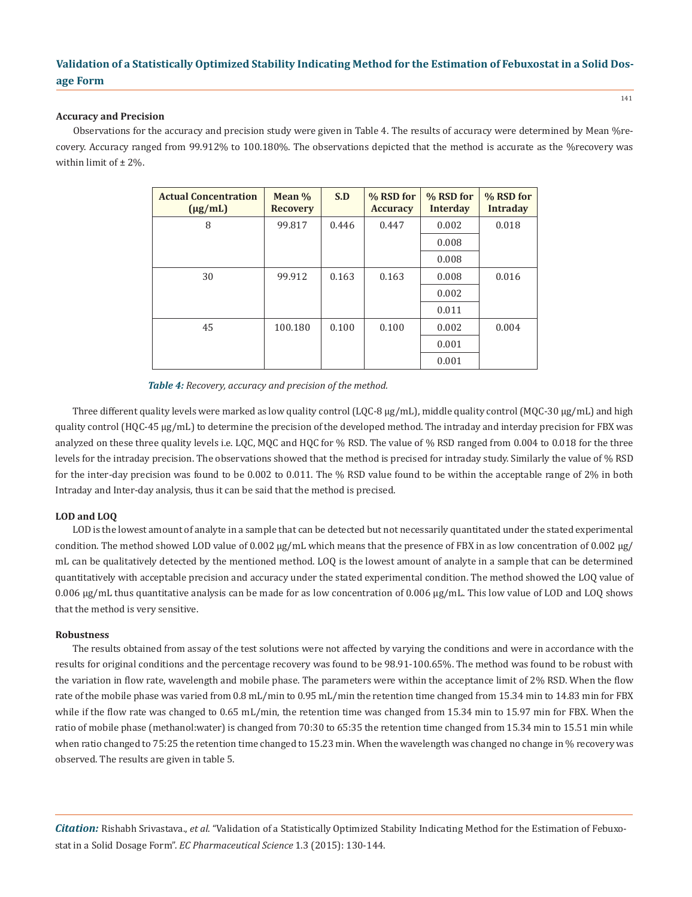### **Accuracy and Precision**

Observations for the accuracy and precision study were given in Table 4. The results of accuracy were determined by Mean %recovery. Accuracy ranged from 99.912% to 100.180%. The observations depicted that the method is accurate as the %recovery was within limit of  $\pm$  2%.

| <b>Actual Concentration</b><br>$(\mu g/mL)$ | Mean %<br><b>Recovery</b> | S.D   | % RSD for<br><b>Accuracy</b> | % RSD for<br><b>Interday</b> | % RSD for<br><b>Intraday</b> |
|---------------------------------------------|---------------------------|-------|------------------------------|------------------------------|------------------------------|
| 8                                           | 99.817                    | 0.446 | 0.447                        | 0.002                        | 0.018                        |
|                                             |                           |       |                              | 0.008                        |                              |
|                                             |                           |       |                              | 0.008                        |                              |
| 30                                          | 99.912                    | 0.163 | 0.163                        | 0.008                        | 0.016                        |
|                                             |                           |       |                              | 0.002                        |                              |
|                                             |                           |       |                              | 0.011                        |                              |
| 45                                          | 100.180                   | 0.100 | 0.100                        | 0.002                        | 0.004                        |
|                                             |                           |       |                              | 0.001                        |                              |
|                                             |                           |       |                              | 0.001                        |                              |

*Table 4: Recovery, accuracy and precision of the method.*

Three different quality levels were marked as low quality control (LQC-8 μg/mL), middle quality control (MQC-30 μg/mL) and high quality control (HQC-45 μg/mL) to determine the precision of the developed method. The intraday and interday precision for FBX was analyzed on these three quality levels i.e. LQC, MQC and HQC for % RSD. The value of % RSD ranged from 0.004 to 0.018 for the three levels for the intraday precision. The observations showed that the method is precised for intraday study. Similarly the value of % RSD for the inter-day precision was found to be 0.002 to 0.011. The % RSD value found to be within the acceptable range of 2% in both Intraday and Inter-day analysis, thus it can be said that the method is precised.

### **LOD and LOQ**

LOD is the lowest amount of analyte in a sample that can be detected but not necessarily quantitated under the stated experimental condition. The method showed LOD value of 0.002  $\mu$ g/mL which means that the presence of FBX in as low concentration of 0.002  $\mu$ g/ mL can be qualitatively detected by the mentioned method. LOQ is the lowest amount of analyte in a sample that can be determined quantitatively with acceptable precision and accuracy under the stated experimental condition. The method showed the LOQ value of 0.006 µg/mL thus quantitative analysis can be made for as low concentration of 0.006 µg/mL. This low value of LOD and LOQ shows that the method is very sensitive.

### **Robustness**

The results obtained from assay of the test solutions were not affected by varying the conditions and were in accordance with the results for original conditions and the percentage recovery was found to be 98.91-100.65%. The method was found to be robust with the variation in flow rate, wavelength and mobile phase. The parameters were within the acceptance limit of 2% RSD. When the flow rate of the mobile phase was varied from 0.8 mL/min to 0.95 mL/min the retention time changed from 15.34 min to 14.83 min for FBX while if the flow rate was changed to 0.65 mL/min, the retention time was changed from 15.34 min to 15.97 min for FBX. When the ratio of mobile phase (methanol:water) is changed from 70:30 to 65:35 the retention time changed from 15.34 min to 15.51 min while when ratio changed to 75:25 the retention time changed to 15.23 min. When the wavelength was changed no change in % recovery was observed. The results are given in table 5.

*Citation:* Rishabh Srivastava., *et al*. "Validation of a Statistically Optimized Stability Indicating Method for the Estimation of Febuxostat in a Solid Dosage Form". *EC Pharmaceutical Science* 1.3 (2015): 130-144.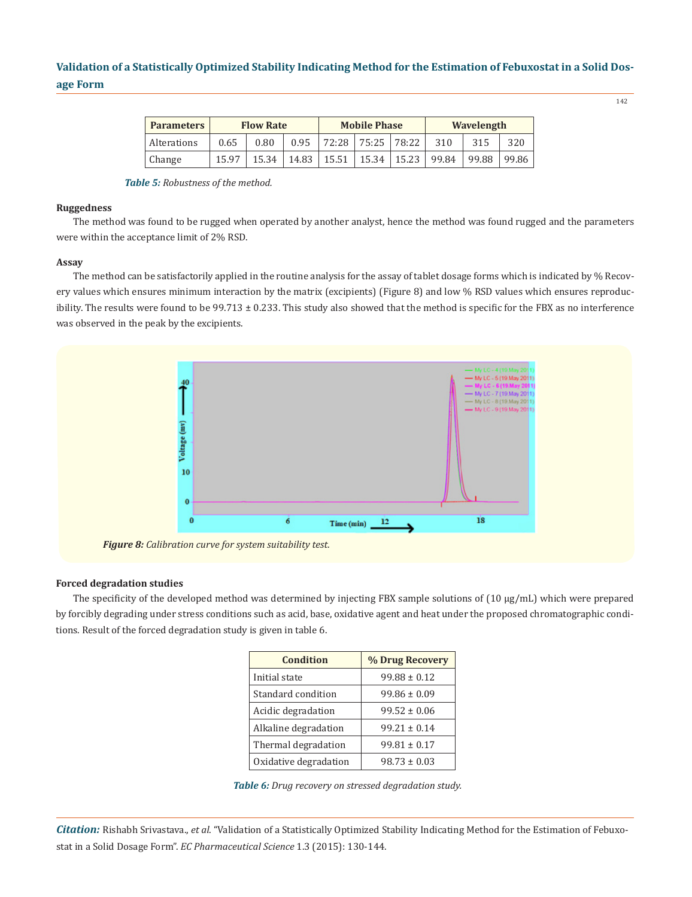142

| <b>Parameters</b> | <b>Flow Rate</b> |       |       | <b>Mobile Phase</b> |       |       | Wavelength |       |       |
|-------------------|------------------|-------|-------|---------------------|-------|-------|------------|-------|-------|
| Alterations       | 0.65             | 0.80  | 0.95  | 72:28               | 75:25 | 78:22 | 310        | 315   | 320   |
| Change            | 15.97            | 15.34 | 14.83 | 15.51               | 15.34 | 15.23 | 99.84      | 99.88 | 99.86 |

*Table 5: Robustness of the method.*

### **Ruggedness**

The method was found to be rugged when operated by another analyst, hence the method was found rugged and the parameters were within the acceptance limit of 2% RSD.

### **Assay**

The method can be satisfactorily applied in the routine analysis for the assay of tablet dosage forms which is indicated by % Recovery values which ensures minimum interaction by the matrix (excipients) (Figure 8) and low % RSD values which ensures reproducibility. The results were found to be 99.713 ± 0.233. This study also showed that the method is specific for the FBX as no interference was observed in the peak by the excipients.



### **Forced degradation studies**

The specificity of the developed method was determined by injecting FBX sample solutions of (10 µg/mL) which were prepared by forcibly degrading under stress conditions such as acid, base, oxidative agent and heat under the proposed chromatographic conditions. Result of the forced degradation study is given in table 6.

| <b>Condition</b>      | % Drug Recovery  |
|-----------------------|------------------|
| Initial state         | $99.88 \pm 0.12$ |
| Standard condition    | $99.86 \pm 0.09$ |
| Acidic degradation    | $99.52 \pm 0.06$ |
| Alkaline degradation  | $99.21 \pm 0.14$ |
| Thermal degradation   | $99.81 \pm 0.17$ |
| Oxidative degradation | $98.73 \pm 0.03$ |

*Table 6: Drug recovery on stressed degradation study.*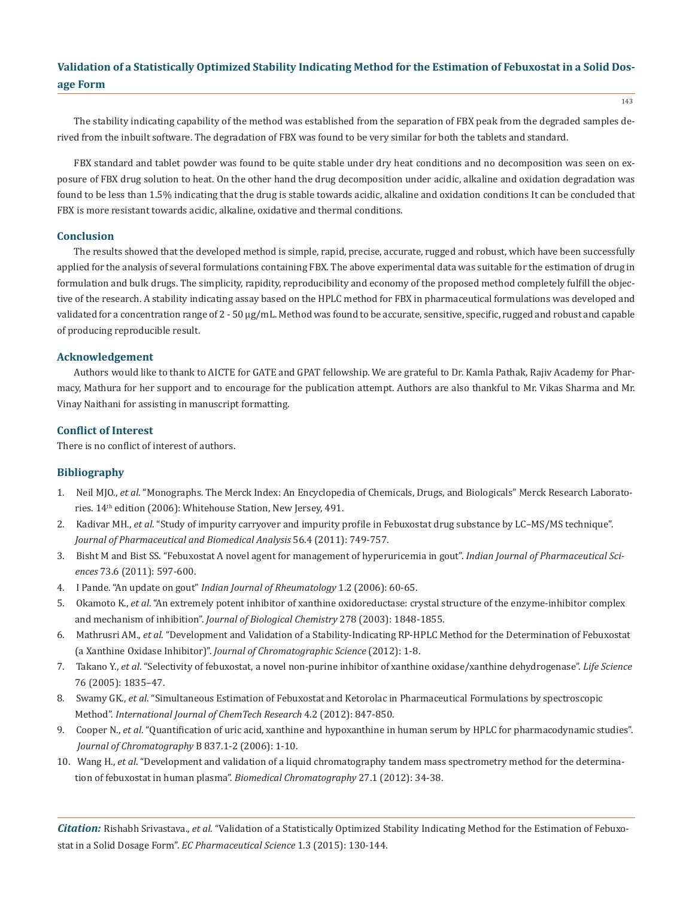The stability indicating capability of the method was established from the separation of FBX peak from the degraded samples derived from the inbuilt software. The degradation of FBX was found to be very similar for both the tablets and standard.

FBX standard and tablet powder was found to be quite stable under dry heat conditions and no decomposition was seen on exposure of FBX drug solution to heat. On the other hand the drug decomposition under acidic, alkaline and oxidation degradation was found to be less than 1.5% indicating that the drug is stable towards acidic, alkaline and oxidation conditions It can be concluded that FBX is more resistant towards acidic, alkaline, oxidative and thermal conditions.

### **Conclusion**

The results showed that the developed method is simple, rapid, precise, accurate, rugged and robust, which have been successfully applied for the analysis of several formulations containing FBX. The above experimental data was suitable for the estimation of drug in formulation and bulk drugs. The simplicity, rapidity, reproducibility and economy of the proposed method completely fulfill the objective of the research. A stability indicating assay based on the HPLC method for FBX in pharmaceutical formulations was developed and validated for a concentration range of 2 - 50 µg/mL. Method was found to be accurate, sensitive, specific, rugged and robust and capable of producing reproducible result.

### **Acknowledgement**

Authors would like to thank to AICTE for GATE and GPAT fellowship. We are grateful to Dr. Kamla Pathak, Rajiv Academy for Pharmacy, Mathura for her support and to encourage for the publication attempt. Authors are also thankful to Mr. Vikas Sharma and Mr. Vinay Naithani for assisting in manuscript formatting.

### **Conflict of Interest**

There is no conflict of interest of authors.

### **Bibliography**

- 1. Neil MJO., *et al*. "Monographs. The Merck Index: An Encyclopedia of Chemicals, Drugs, and Biologicals" Merck Research Laborato ries. 14th edition (2006): Whitehouse Station, New Jersey, 491.
- 2. Kadivar MH., *et al*. "Study of impurity carryover and impurity profile in Febuxostat drug substance by LC–MS/MS technique". *Journal of Pharmaceutical and Biomedical Analysis* 56.4 (2011): 749-757.
- 3. Bisht M and Bist SS. "Febuxostat A novel agent for management of hyperuricemia in gout". *Indian Journal of Pharmaceutical Sci ences* 73.6 (2011): 597-600.
- 4. I Pande. "An update on gout" *Indian Journal of Rheumatology* 1.2 (2006): 60-65.
- 5. Okamoto K., *et al*. "An extremely potent inhibitor of xanthine oxidoreductase: crystal structure of the enzyme-inhibitor complex and mechanism of inhibition". *Journal of Biological Chemistry* 278 (2003): 1848-1855.
- 6. Mathrusri AM., *et al*. "Development and Validation of a Stability-Indicating RP-HPLC Method for the Determination of Febuxostat (a Xanthine Oxidase Inhibitor)". *Journal of Chromatographic Science* (2012): 1-8.
- 7. Takano Y., *et al*. "Selectivity of febuxostat, a novel non-purine inhibitor of xanthine oxidase/xanthine dehydrogenase". *Life Science*  76 (2005): 1835–47.
- 8. Swamy GK., *et al*. "Simultaneous Estimation of Febuxostat and Ketorolac in Pharmaceutical Formulations by spectroscopic Method". *International Journal of ChemTech Research* 4.2 (2012): 847-850.
- 9. Cooper N., *et al*. "Quantification of uric acid, xanthine and hypoxanthine in human serum by HPLC for pharmacodynamic studies". *Journal of Chromatography* B 837.1-2 (2006): 1-10.
- 10. Wang H., *et al*. "Development and validation of a liquid chromatography tandem mass spectrometry method for the determina tion of febuxostat in human plasma". *Biomedical Chromatography* 27.1 (2012): 34-38.

*Citation:* Rishabh Srivastava., *et al*. "Validation of a Statistically Optimized Stability Indicating Method for the Estimation of Febuxostat in a Solid Dosage Form". *EC Pharmaceutical Science* 1.3 (2015): 130-144.